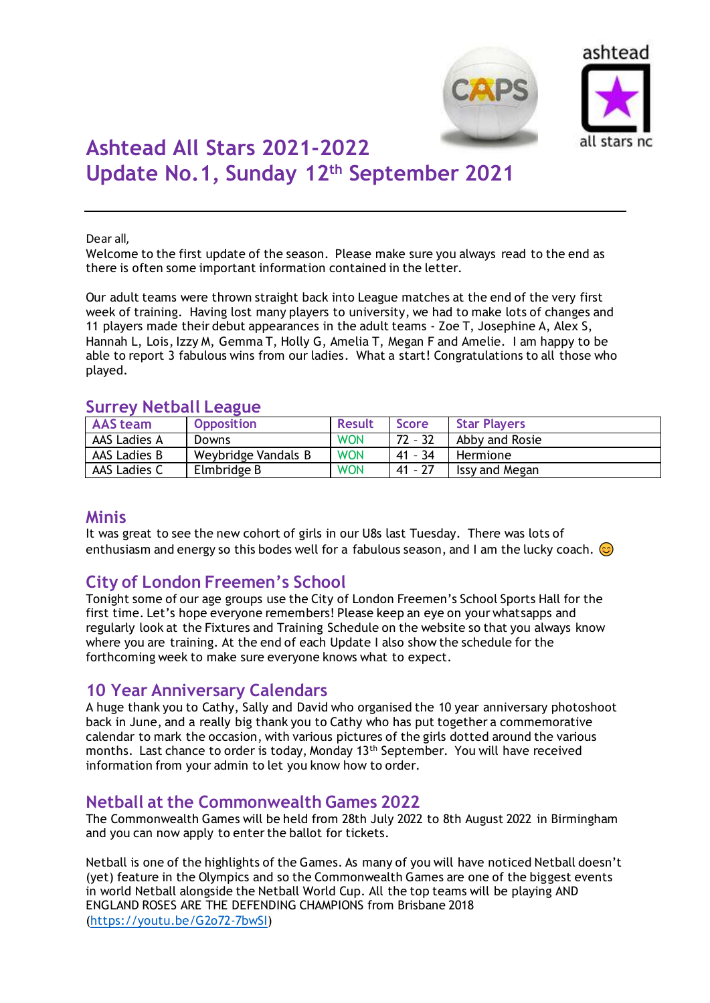



# **Ashtead All Stars 2021-2022 Update No.1, Sunday 12th September 2021**

#### Dear all,

Welcome to the first update of the season. Please make sure you always read to the end as there is often some important information contained in the letter.

Our adult teams were thrown straight back into League matches at the end of the very first week of training. Having lost many players to university, we had to make lots of changes and 11 players made their debut appearances in the adult teams - Zoe T, Josephine A, Alex S, Hannah L, Lois, Izzy M, Gemma T, Holly G, Amelia T, Megan F and Amelie. I am happy to be able to report 3 fabulous wins from our ladies. What a start! Congratulations to all those who played.

# **Surrey Netball League**

| ______       |                     |               |              |                     |  |  |
|--------------|---------------------|---------------|--------------|---------------------|--|--|
| AAS team     | <b>Opposition</b>   | <b>Result</b> | <b>Score</b> | <b>Star Players</b> |  |  |
| AAS Ladies A | Downs               | <b>WON</b>    | $72 - 32$    | Abby and Rosie      |  |  |
| AAS Ladies B | Weybridge Vandals B | <b>WON</b>    | $41 - 34$    | Hermione            |  |  |
| AAS Ladies C | Elmbridge B         | <b>WON</b>    | $41 - 27$    | Issy and Megan      |  |  |

## **Minis**

It was great to see the new cohort of girls in our U8s last Tuesday. There was lots of enthusiasm and energy so this bodes well for a fabulous season, and I am the lucky coach.  $\odot$ 

# **City of London Freemen's School**

Tonight some of our age groups use the City of London Freemen's School Sports Hall for the first time. Let's hope everyone remembers! Please keep an eye on your whatsapps and regularly look at the Fixtures and Training Schedule on the website so that you always know where you are training. At the end of each Update I also show the schedule for the forthcoming week to make sure everyone knows what to expect.

# **10 Year Anniversary Calendars**

A huge thank you to Cathy, Sally and David who organised the 10 year anniversary photoshoot back in June, and a really big thank you to Cathy who has put together a commemorative calendar to mark the occasion, with various pictures of the girls dotted around the various months. Last chance to order is today, Monday 13<sup>th</sup> September. You will have received information from your admin to let you know how to order.

# **Netball at the Commonwealth Games 2022**

The Commonwealth Games will be held from 28th July 2022 to 8th August 2022 in Birmingham and you can now apply to enter the ballot for tickets.

Netball is one of the highlights of the Games. As many of you will have noticed Netball doesn't (yet) feature in the Olympics and so the Commonwealth Games are one of the biggest events in world Netball alongside the Netball World Cup. All the top teams will be playing AND ENGLAND ROSES ARE THE DEFENDING CHAMPIONS from Brisbane 2018 [\(https://youtu.be/G2o72-7bwSI\)](https://emea01.safelinks.protection.outlook.com/?url=https%3A%2F%2Fyoutu.be%2FG2o72-7bwSI&data=04%7C01%7C%7Cf3d6cdcc153e45eac76808d975eeab1e%7C84df9e7fe9f640afb435aaaaaaaaaaaa%7C1%7C0%7C637670490195136711%7CUnknown%7CTWFpbGZsb3d8eyJWIjoiMC4wLjAwMDAiLCJQIjoiV2luMzIiLCJBTiI6Ik1haWwiLCJXVCI6Mn0%3D%7C1000&sdata=E7EfciA0CsPAqE5sNsvCdyM9C2VjEajBi96CFk7WjAE%3D&reserved=0)